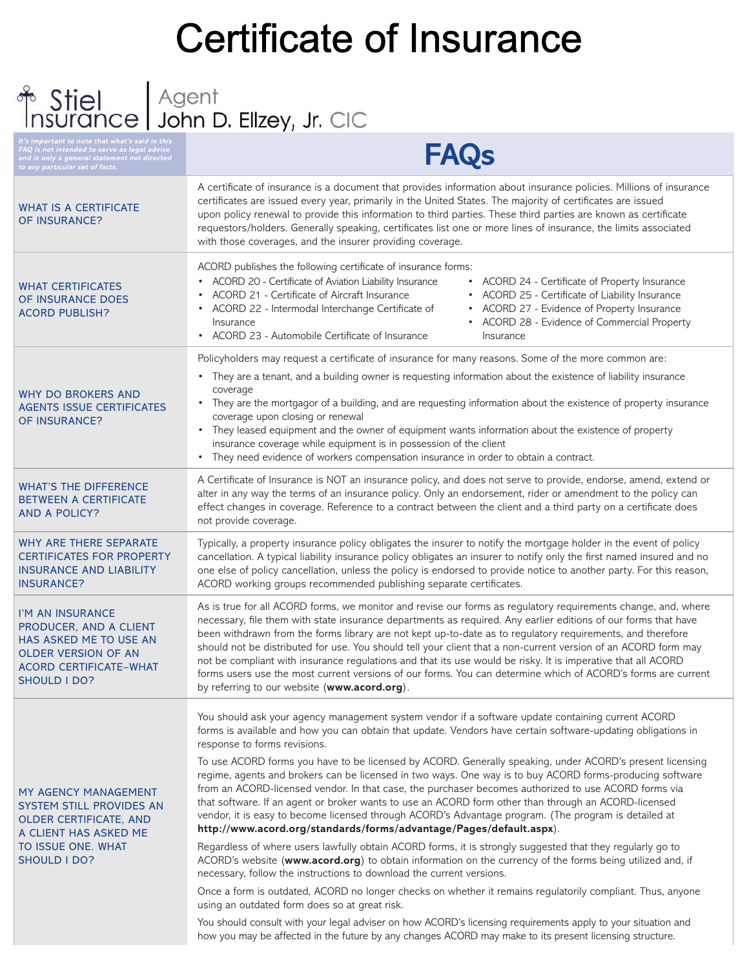# Certificate of Insurance<br> **Certificate of Insurance**

**It's important to note that what's said in this FAQ is not intended to serve as legal advice and is only a general statement not directed to any particular set of facts.**

## **FAQs**

| <b>WHAT IS A CERTIFICATE</b><br>OF INSURANCE?                                                                                                              | A certificate of insurance is a document that provides information about insurance policies. Millions of insurance<br>certificates are issued every year, primarily in the United States. The majority of certificates are issued<br>upon policy renewal to provide this information to third parties. These third parties are known as certificate<br>requestors/holders. Generally speaking, certificates list one or more lines of insurance, the limits associated<br>with those coverages, and the insurer providing coverage.                                                                                                                                                                                                             |  |
|------------------------------------------------------------------------------------------------------------------------------------------------------------|-------------------------------------------------------------------------------------------------------------------------------------------------------------------------------------------------------------------------------------------------------------------------------------------------------------------------------------------------------------------------------------------------------------------------------------------------------------------------------------------------------------------------------------------------------------------------------------------------------------------------------------------------------------------------------------------------------------------------------------------------|--|
| <b>WHAT CERTIFICATES</b><br>OF INSURANCE DOES<br><b>ACORD PUBLISH?</b>                                                                                     | ACORD publishes the following certificate of insurance forms:<br>• ACORD 20 - Certificate of Aviation Liability Insurance<br>• ACORD 24 - Certificate of Property Insurance<br>ACORD 21 - Certificate of Aircraft Insurance<br>• ACORD 25 - Certificate of Liability Insurance<br>$\bullet$<br>ACORD 22 - Intermodal Interchange Certificate of<br>• ACORD 27 - Evidence of Property Insurance<br>ACORD 28 - Evidence of Commercial Property<br>Insurance<br>ACORD 23 - Automobile Certificate of Insurance<br>Insurance                                                                                                                                                                                                                        |  |
| <b>WHY DO BROKERS AND</b><br><b>AGENTS ISSUE CERTIFICATES</b><br>OF INSURANCE?                                                                             | Policyholders may request a certificate of insurance for many reasons. Some of the more common are:<br>• They are a tenant, and a building owner is requesting information about the existence of liability insurance<br>coverage<br>• They are the mortgagor of a building, and are requesting information about the existence of property insurance<br>coverage upon closing or renewal<br>They leased equipment and the owner of equipment wants information about the existence of property<br>insurance coverage while equipment is in possession of the client<br>• They need evidence of workers compensation insurance in order to obtain a contract.                                                                                   |  |
| <b>WHAT'S THE DIFFERENCE</b><br><b>BETWEEN A CERTIFICATE</b><br><b>AND A POLICY?</b>                                                                       | A Certificate of Insurance is NOT an insurance policy, and does not serve to provide, endorse, amend, extend or<br>alter in any way the terms of an insurance policy. Only an endorsement, rider or amendment to the policy can<br>effect changes in coverage. Reference to a contract between the client and a third party on a certificate does<br>not provide coverage.                                                                                                                                                                                                                                                                                                                                                                      |  |
| WHY ARE THERE SEPARATE<br><b>CERTIFICATES FOR PROPERTY</b><br><b>INSURANCE AND LIABILITY</b><br><b>INSURANCE?</b>                                          | Typically, a property insurance policy obligates the insurer to notify the mortgage holder in the event of policy<br>cancellation. A typical liability insurance policy obligates an insurer to notify only the first named insured and no<br>one else of policy cancellation, unless the policy is endorsed to provide notice to another party. For this reason,<br>ACORD working groups recommended publishing separate certificates.                                                                                                                                                                                                                                                                                                         |  |
| I'M AN INSURANCE<br>PRODUCER, AND A CLIENT<br>HAS ASKED ME TO USE AN<br><b>OLDER VERSION OF AN</b><br><b>ACORD CERTIFICATE-WHAT</b><br><b>SHOULD I DO?</b> | As is true for all ACORD forms, we monitor and revise our forms as regulatory requirements change, and, where<br>necessary, file them with state insurance departments as required. Any earlier editions of our forms that have<br>been withdrawn from the forms library are not kept up-to-date as to regulatory requirements, and therefore<br>should not be distributed for use. You should tell your client that a non-current version of an ACORD form may<br>not be compliant with insurance regulations and that its use would be risky. It is imperative that all ACORD<br>forms users use the most current versions of our forms. You can determine which of ACORD's forms are current<br>by referring to our website (www.acord.org). |  |
| MY AGENCY MANAGEMENT<br>SYSTEM STILL PROVIDES AN<br>OLDER CERTIFICATE, AND<br>A CLIENT HAS ASKED ME<br>TO ISSUE ONE. WHAT<br>SHOULD I DO?                  | You should ask your agency management system vendor if a software update containing current ACORD<br>forms is available and how you can obtain that update. Vendors have certain software-updating obligations in<br>response to forms revisions.<br>To use ACORD forms you have to be licensed by ACORD. Generally speaking, under ACORD's present licensing                                                                                                                                                                                                                                                                                                                                                                                   |  |
|                                                                                                                                                            | regime, agents and brokers can be licensed in two ways. One way is to buy ACORD forms-producing software<br>from an ACORD-licensed vendor. In that case, the purchaser becomes authorized to use ACORD forms via<br>that software. If an agent or broker wants to use an ACORD form other than through an ACORD-licensed<br>vendor, it is easy to become licensed through ACORD's Advantage program. (The program is detailed at<br>http://www.acord.org/standards/forms/advantage/Pages/default.aspx).                                                                                                                                                                                                                                         |  |
|                                                                                                                                                            | Regardless of where users lawfully obtain ACORD forms, it is strongly suggested that they regularly go to<br>ACORD's website (www.acord.org) to obtain information on the currency of the forms being utilized and, if<br>necessary, follow the instructions to download the current versions.                                                                                                                                                                                                                                                                                                                                                                                                                                                  |  |
|                                                                                                                                                            | Once a form is outdated, ACORD no longer checks on whether it remains regulatorily compliant. Thus, anyone<br>using an outdated form does so at great risk.                                                                                                                                                                                                                                                                                                                                                                                                                                                                                                                                                                                     |  |
|                                                                                                                                                            | You should consult with your legal adviser on how ACORD's licensing requirements apply to your situation and<br>how you may be affected in the future by any changes ACORD may make to its present licensing structure.                                                                                                                                                                                                                                                                                                                                                                                                                                                                                                                         |  |